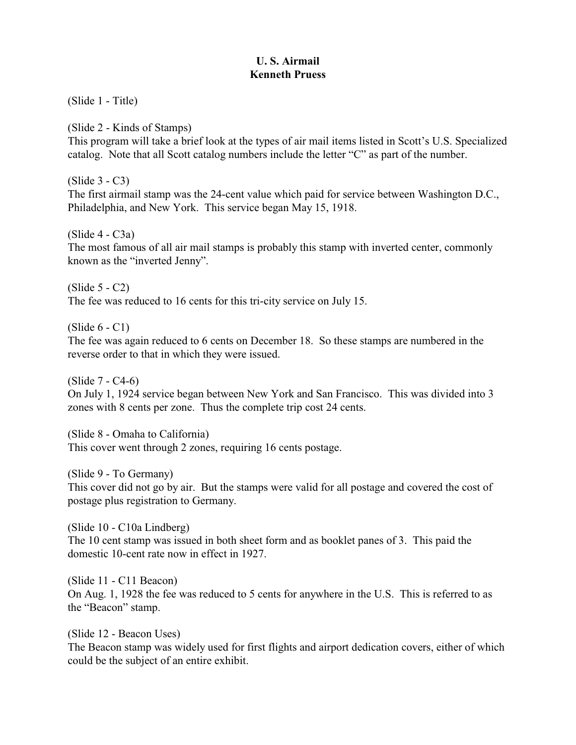## **U. S. Airmail Kenneth Pruess**

(Slide 1 - Title)

(Slide 2 - Kinds of Stamps)

This program will take a brief look at the types of air mail items listed in Scott's U.S. Specialized catalog. Note that all Scott catalog numbers include the letter "C" as part of the number.

(Slide 3 - C3)

The first airmail stamp was the 24-cent value which paid for service between Washington D.C., Philadelphia, and New York. This service began May 15, 1918.

 $(S$ lide 4 -  $C$ 3a)

The most famous of all air mail stamps is probably this stamp with inverted center, commonly known as the "inverted Jenny".

(Slide 5 - C2) The fee was reduced to 16 cents for this tri-city service on July 15.

(Slide 6 - C1)

The fee was again reduced to 6 cents on December 18. So these stamps are numbered in the reverse order to that in which they were issued.

(Slide 7 - C4-6)

On July 1, 1924 service began between New York and San Francisco. This was divided into 3 zones with 8 cents per zone. Thus the complete trip cost 24 cents.

(Slide 8 - Omaha to California) This cover went through 2 zones, requiring 16 cents postage.

(Slide 9 - To Germany)

This cover did not go by air. But the stamps were valid for all postage and covered the cost of postage plus registration to Germany.

(Slide 10 - C10a Lindberg) The 10 cent stamp was issued in both sheet form and as booklet panes of 3. This paid the domestic 10-cent rate now in effect in 1927.

(Slide 11 - C11 Beacon) On Aug. 1, 1928 the fee was reduced to 5 cents for anywhere in the U.S. This is referred to as the "Beacon" stamp.

(Slide 12 - Beacon Uses) The Beacon stamp was widely used for first flights and airport dedication covers, either of which could be the subject of an entire exhibit.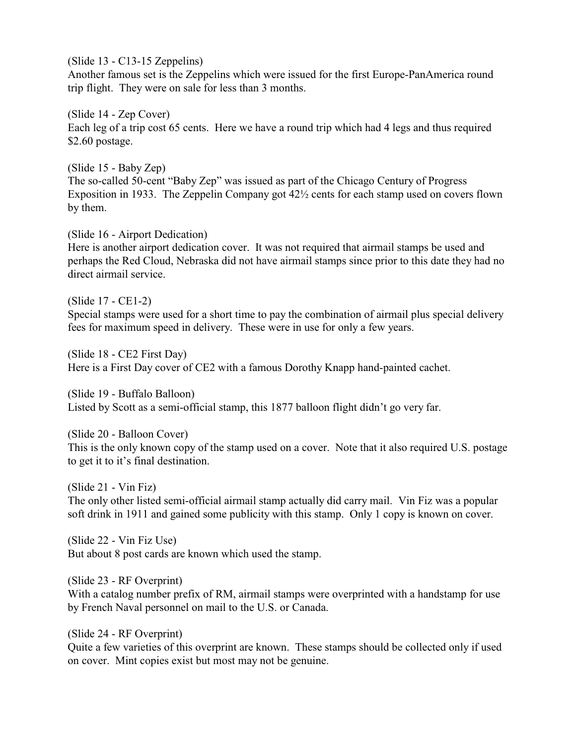(Slide 13 - C13-15 Zeppelins)

Another famous set is the Zeppelins which were issued for the first Europe-PanAmerica round trip flight. They were on sale for less than 3 months.

(Slide 14 - Zep Cover) Each leg of a trip cost 65 cents. Here we have a round trip which had 4 legs and thus required \$2.60 postage.

(Slide 15 - Baby Zep) The so-called 50-cent "Baby Zep" was issued as part of the Chicago Century of Progress Exposition in 1933. The Zeppelin Company got 42½ cents for each stamp used on covers flown by them.

(Slide 16 - Airport Dedication)

Here is another airport dedication cover. It was not required that airmail stamps be used and perhaps the Red Cloud, Nebraska did not have airmail stamps since prior to this date they had no direct airmail service.

(Slide 17 - CE1-2)

Special stamps were used for a short time to pay the combination of airmail plus special delivery fees for maximum speed in delivery. These were in use for only a few years.

(Slide 18 - CE2 First Day) Here is a First Day cover of CE2 with a famous Dorothy Knapp hand-painted cachet.

(Slide 19 - Buffalo Balloon) Listed by Scott as a semi-official stamp, this 1877 balloon flight didn't go very far.

(Slide 20 - Balloon Cover) This is the only known copy of the stamp used on a cover. Note that it also required U.S. postage to get it to it's final destination.

(Slide 21 - Vin Fiz)

The only other listed semi-official airmail stamp actually did carry mail. Vin Fiz was a popular soft drink in 1911 and gained some publicity with this stamp. Only 1 copy is known on cover.

(Slide 22 - Vin Fiz Use) But about 8 post cards are known which used the stamp.

(Slide 23 - RF Overprint)

With a catalog number prefix of RM, airmail stamps were overprinted with a handstamp for use by French Naval personnel on mail to the U.S. or Canada.

(Slide 24 - RF Overprint)

Quite a few varieties of this overprint are known. These stamps should be collected only if used on cover. Mint copies exist but most may not be genuine.